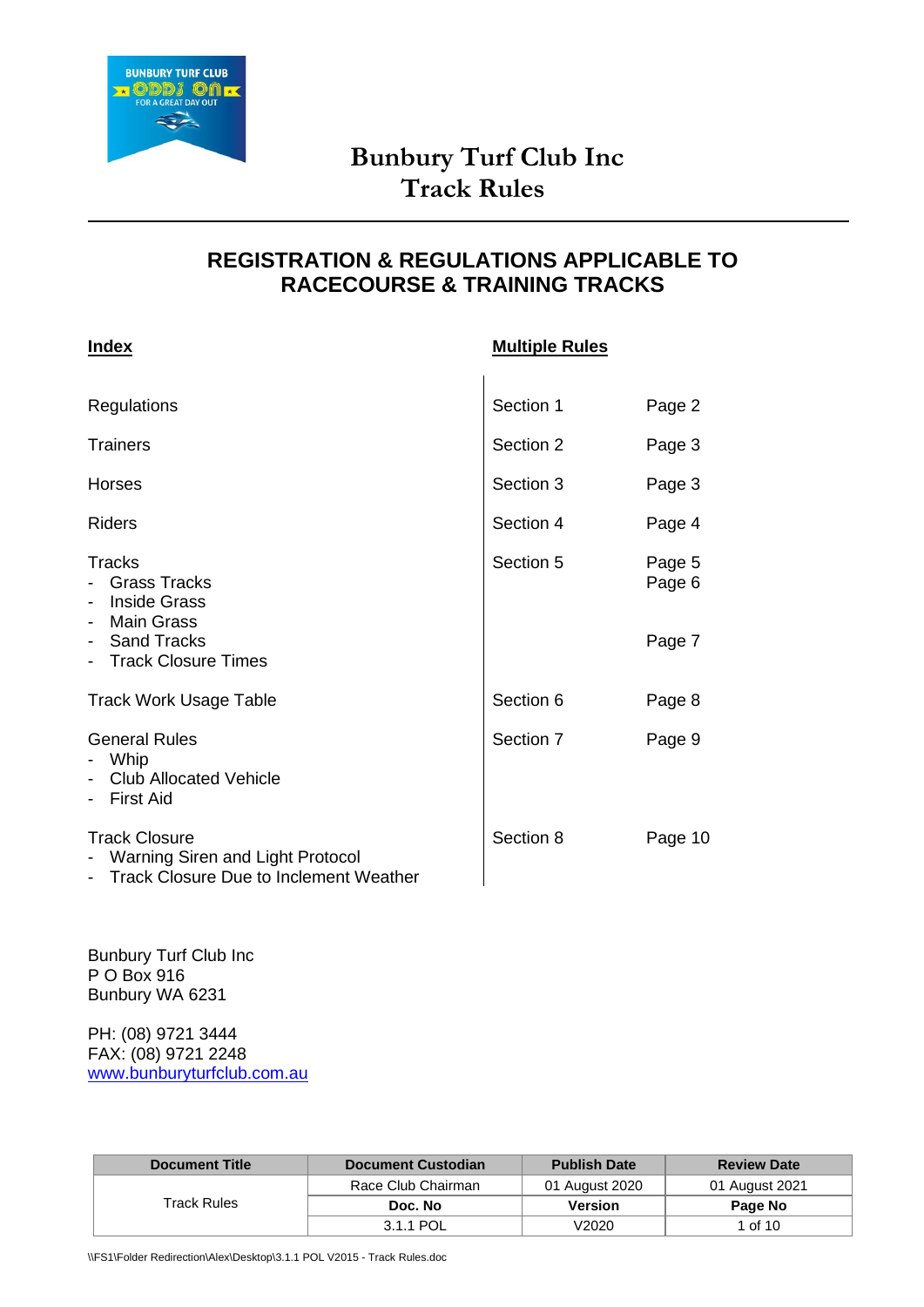

# **REGISTRATION & REGULATIONS APPLICABLE TO RACECOURSE & TRAINING TRACKS**

| <b>Index</b>                                                                                                                                                              | <b>Multiple Rules</b> |                  |
|---------------------------------------------------------------------------------------------------------------------------------------------------------------------------|-----------------------|------------------|
| Regulations                                                                                                                                                               | Section 1             | Page 2           |
| <b>Trainers</b>                                                                                                                                                           | Section 2             | Page 3           |
| Horses                                                                                                                                                                    | Section 3             | Page 3           |
| <b>Riders</b>                                                                                                                                                             | Section 4             | Page 4           |
| <b>Tracks</b><br><b>Grass Tracks</b><br>$\overline{\phantom{0}}$<br><b>Inside Grass</b><br>$\overline{\phantom{a}}$<br>Main Grass<br>$\overline{\phantom{a}}$             | Section 5             | Page 5<br>Page 6 |
| Sand Tracks<br>$\blacksquare$<br>- Track Closure Times                                                                                                                    |                       | Page 7           |
| <b>Track Work Usage Table</b>                                                                                                                                             | Section 6             | Page 8           |
| <b>General Rules</b><br>Whip<br>$\overline{\phantom{0}}$<br><b>Club Allocated Vehicle</b><br>$\qquad \qquad \blacksquare$<br><b>First Aid</b><br>$\overline{\phantom{0}}$ | Section 7             | Page 9           |
| <b>Track Closure</b><br>- Warning Siren and Light Protocol<br><b>Track Closure Due to Inclement Weather</b>                                                               | Section 8             | Page 10          |

Bunbury Turf Club Inc P O Box 916 Bunbury WA 6231

PH: (08) 9721 3444 FAX: (08) 9721 2248 [www.bunburyturfclub.com.au](http://www.bunburyturfclub.com.au/)

| <b>Document Title</b> | <b>Document Custodian</b> | <b>Publish Date</b> | <b>Review Date</b> |
|-----------------------|---------------------------|---------------------|--------------------|
|                       | Race Club Chairman        | 01 August 2020      | 01 August 2021     |
| Track Rules           | Doc. No                   | Version             | Page No            |
|                       | 3.1.1 POL                 | V2020               | 1 of 10            |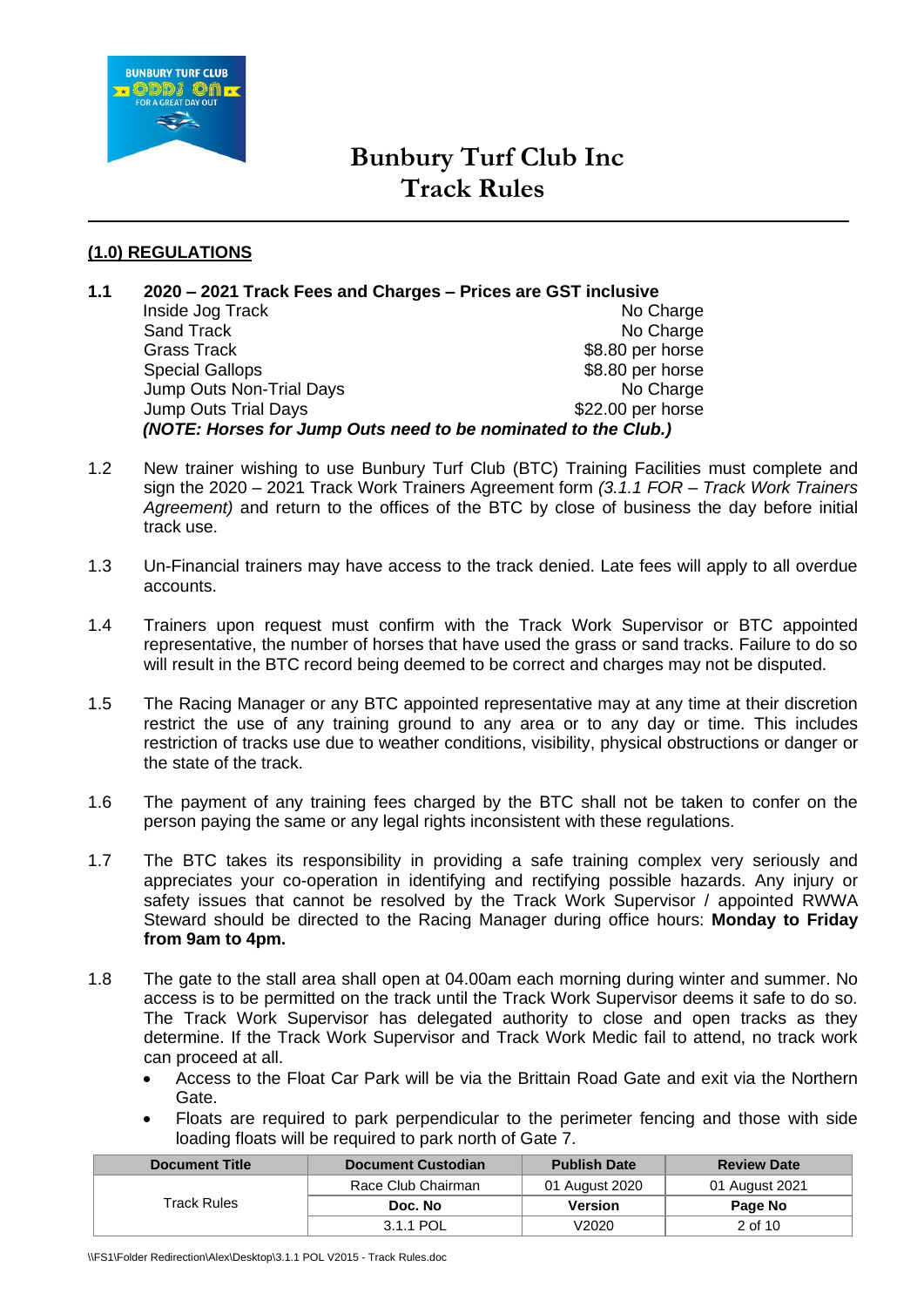

## **(1.0) REGULATIONS**

- **1.1 2020 – 2021 Track Fees and Charges – Prices are GST inclusive** Inside Jog Track No Charge No Charge Sand Track No Charge No Charge No Charge No Charge No Charge No Charge No Charge No Charge No Charge No Charge No Charge No Charge No Charge No Charge No Charge No Charge No Charge No Charge No Charge No Charge No Charge N \$8.80 per horse Special Gallops  $$8.80$  per horse Jump Outs Non-Trial Days No Charge Jump Outs Trial Days **\$22.00 per horse** *(NOTE: Horses for Jump Outs need to be nominated to the Club.)*
- 1.2 New trainer wishing to use Bunbury Turf Club (BTC) Training Facilities must complete and sign the 2020 – 2021 Track Work Trainers Agreement form *(3.1.1 FOR – Track Work Trainers Agreement)* and return to the offices of the BTC by close of business the day before initial track use.
- 1.3 Un-Financial trainers may have access to the track denied. Late fees will apply to all overdue accounts.
- 1.4 Trainers upon request must confirm with the Track Work Supervisor or BTC appointed representative, the number of horses that have used the grass or sand tracks. Failure to do so will result in the BTC record being deemed to be correct and charges may not be disputed.
- 1.5 The Racing Manager or any BTC appointed representative may at any time at their discretion restrict the use of any training ground to any area or to any day or time. This includes restriction of tracks use due to weather conditions, visibility, physical obstructions or danger or the state of the track.
- 1.6 The payment of any training fees charged by the BTC shall not be taken to confer on the person paying the same or any legal rights inconsistent with these regulations.
- 1.7 The BTC takes its responsibility in providing a safe training complex very seriously and appreciates your co-operation in identifying and rectifying possible hazards. Any injury or safety issues that cannot be resolved by the Track Work Supervisor / appointed RWWA Steward should be directed to the Racing Manager during office hours: **Monday to Friday from 9am to 4pm.**
- 1.8 The gate to the stall area shall open at 04.00am each morning during winter and summer. No access is to be permitted on the track until the Track Work Supervisor deems it safe to do so. The Track Work Supervisor has delegated authority to close and open tracks as they determine. If the Track Work Supervisor and Track Work Medic fail to attend, no track work can proceed at all.
	- Access to the Float Car Park will be via the Brittain Road Gate and exit via the Northern Gate.
	- Floats are required to park perpendicular to the perimeter fencing and those with side loading floats will be required to park north of Gate 7.

| <b>Document Title</b> | <b>Document Custodian</b> | <b>Publish Date</b> | <b>Review Date</b> |
|-----------------------|---------------------------|---------------------|--------------------|
|                       | Race Club Chairman        | 01 August 2020      | 01 August 2021     |
| Track Rules           | Doc. No                   | Version             | Page No            |
|                       | 3.1.1 POL                 | V2020               | 2 of 10            |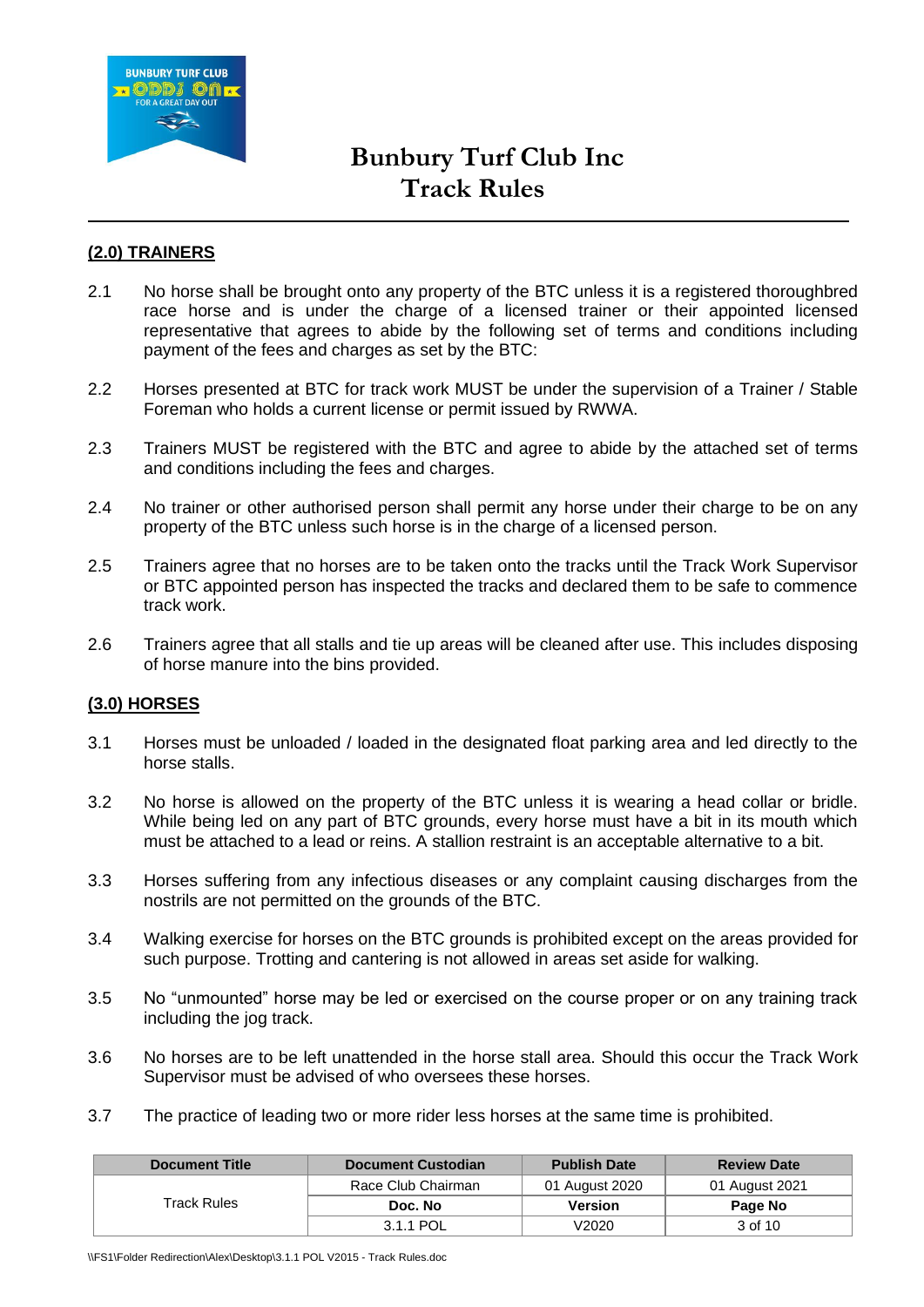

## **(2.0) TRAINERS**

- 2.1 No horse shall be brought onto any property of the BTC unless it is a registered thoroughbred race horse and is under the charge of a licensed trainer or their appointed licensed representative that agrees to abide by the following set of terms and conditions including payment of the fees and charges as set by the BTC:
- 2.2 Horses presented at BTC for track work MUST be under the supervision of a Trainer / Stable Foreman who holds a current license or permit issued by RWWA.
- 2.3 Trainers MUST be registered with the BTC and agree to abide by the attached set of terms and conditions including the fees and charges.
- 2.4 No trainer or other authorised person shall permit any horse under their charge to be on any property of the BTC unless such horse is in the charge of a licensed person.
- 2.5 Trainers agree that no horses are to be taken onto the tracks until the Track Work Supervisor or BTC appointed person has inspected the tracks and declared them to be safe to commence track work.
- 2.6 Trainers agree that all stalls and tie up areas will be cleaned after use. This includes disposing of horse manure into the bins provided.

### **(3.0) HORSES**

- 3.1 Horses must be unloaded / loaded in the designated float parking area and led directly to the horse stalls.
- 3.2 No horse is allowed on the property of the BTC unless it is wearing a head collar or bridle. While being led on any part of BTC grounds, every horse must have a bit in its mouth which must be attached to a lead or reins. A stallion restraint is an acceptable alternative to a bit.
- 3.3 Horses suffering from any infectious diseases or any complaint causing discharges from the nostrils are not permitted on the grounds of the BTC.
- 3.4 Walking exercise for horses on the BTC grounds is prohibited except on the areas provided for such purpose. Trotting and cantering is not allowed in areas set aside for walking.
- 3.5 No "unmounted" horse may be led or exercised on the course proper or on any training track including the jog track.
- 3.6 No horses are to be left unattended in the horse stall area. Should this occur the Track Work Supervisor must be advised of who oversees these horses.
- 3.7 The practice of leading two or more rider less horses at the same time is prohibited.

| <b>Document Title</b> | Document Custodian | <b>Publish Date</b> | <b>Review Date</b> |
|-----------------------|--------------------|---------------------|--------------------|
|                       | Race Club Chairman | 01 August 2020      | 01 August 2021     |
| Track Rules           | Doc. No            | Version             | Page No            |
|                       | 3.1.1 POL          | V2020               | 3 of 10            |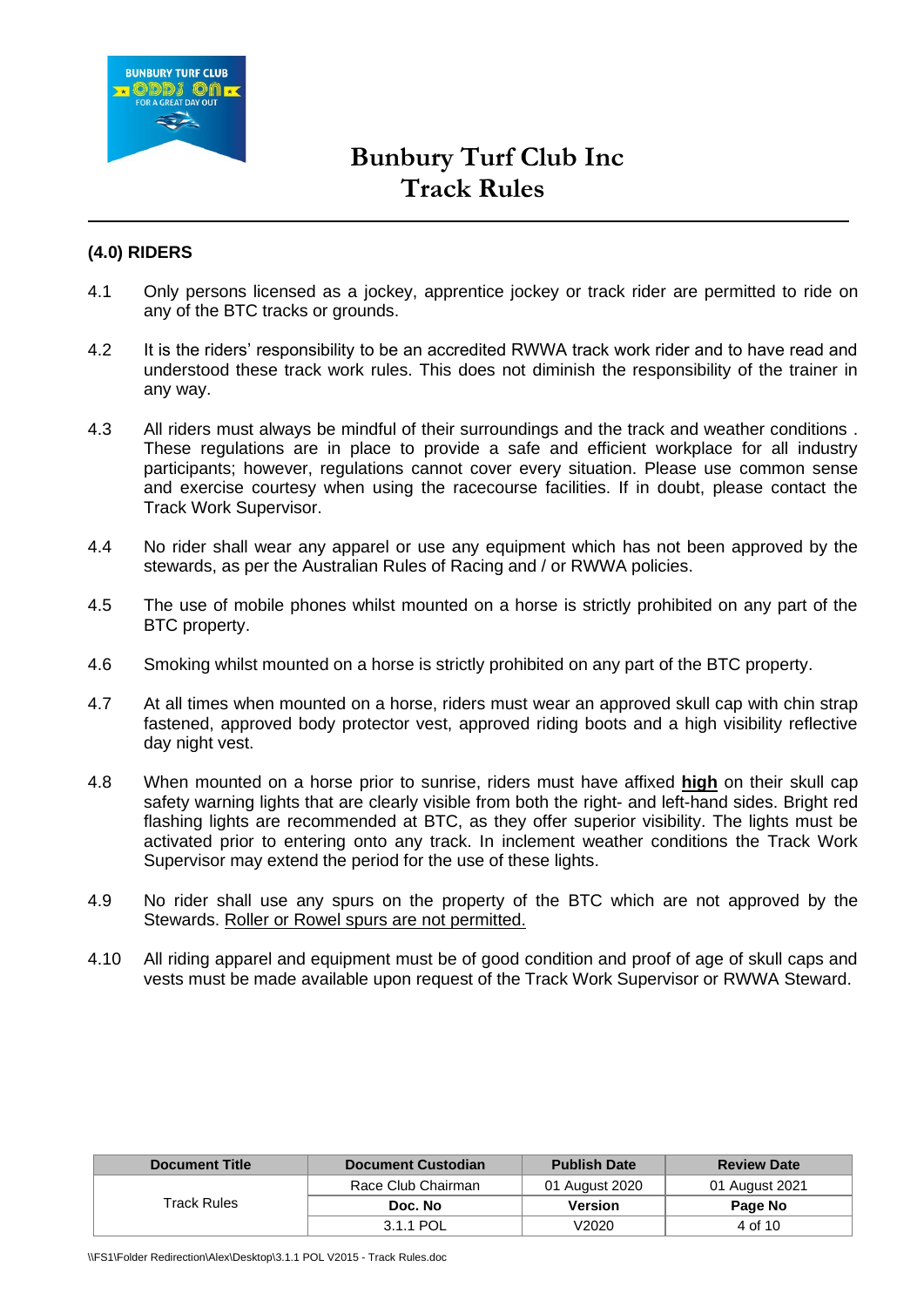

### **(4.0) RIDERS**

- 4.1 Only persons licensed as a jockey, apprentice jockey or track rider are permitted to ride on any of the BTC tracks or grounds.
- 4.2 It is the riders' responsibility to be an accredited RWWA track work rider and to have read and understood these track work rules. This does not diminish the responsibility of the trainer in any way.
- 4.3 All riders must always be mindful of their surroundings and the track and weather conditions . These regulations are in place to provide a safe and efficient workplace for all industry participants; however, regulations cannot cover every situation. Please use common sense and exercise courtesy when using the racecourse facilities. If in doubt, please contact the Track Work Supervisor.
- 4.4 No rider shall wear any apparel or use any equipment which has not been approved by the stewards, as per the Australian Rules of Racing and / or RWWA policies.
- 4.5 The use of mobile phones whilst mounted on a horse is strictly prohibited on any part of the BTC property.
- 4.6 Smoking whilst mounted on a horse is strictly prohibited on any part of the BTC property.
- 4.7 At all times when mounted on a horse, riders must wear an approved skull cap with chin strap fastened, approved body protector vest, approved riding boots and a high visibility reflective day night vest.
- 4.8 When mounted on a horse prior to sunrise, riders must have affixed **high** on their skull cap safety warning lights that are clearly visible from both the right- and left-hand sides. Bright red flashing lights are recommended at BTC, as they offer superior visibility. The lights must be activated prior to entering onto any track. In inclement weather conditions the Track Work Supervisor may extend the period for the use of these lights.
- 4.9 No rider shall use any spurs on the property of the BTC which are not approved by the Stewards. Roller or Rowel spurs are not permitted.
- 4.10 All riding apparel and equipment must be of good condition and proof of age of skull caps and vests must be made available upon request of the Track Work Supervisor or RWWA Steward.

| <b>Document Title</b> | <b>Document Custodian</b> | <b>Publish Date</b> | <b>Review Date</b> |
|-----------------------|---------------------------|---------------------|--------------------|
|                       | Race Club Chairman        | 01 August 2020      | 01 August 2021     |
| Track Rules           | Doc. No                   | Version             | Page No            |
|                       | 3.1.1 POL                 | V2020               | 4 of 10            |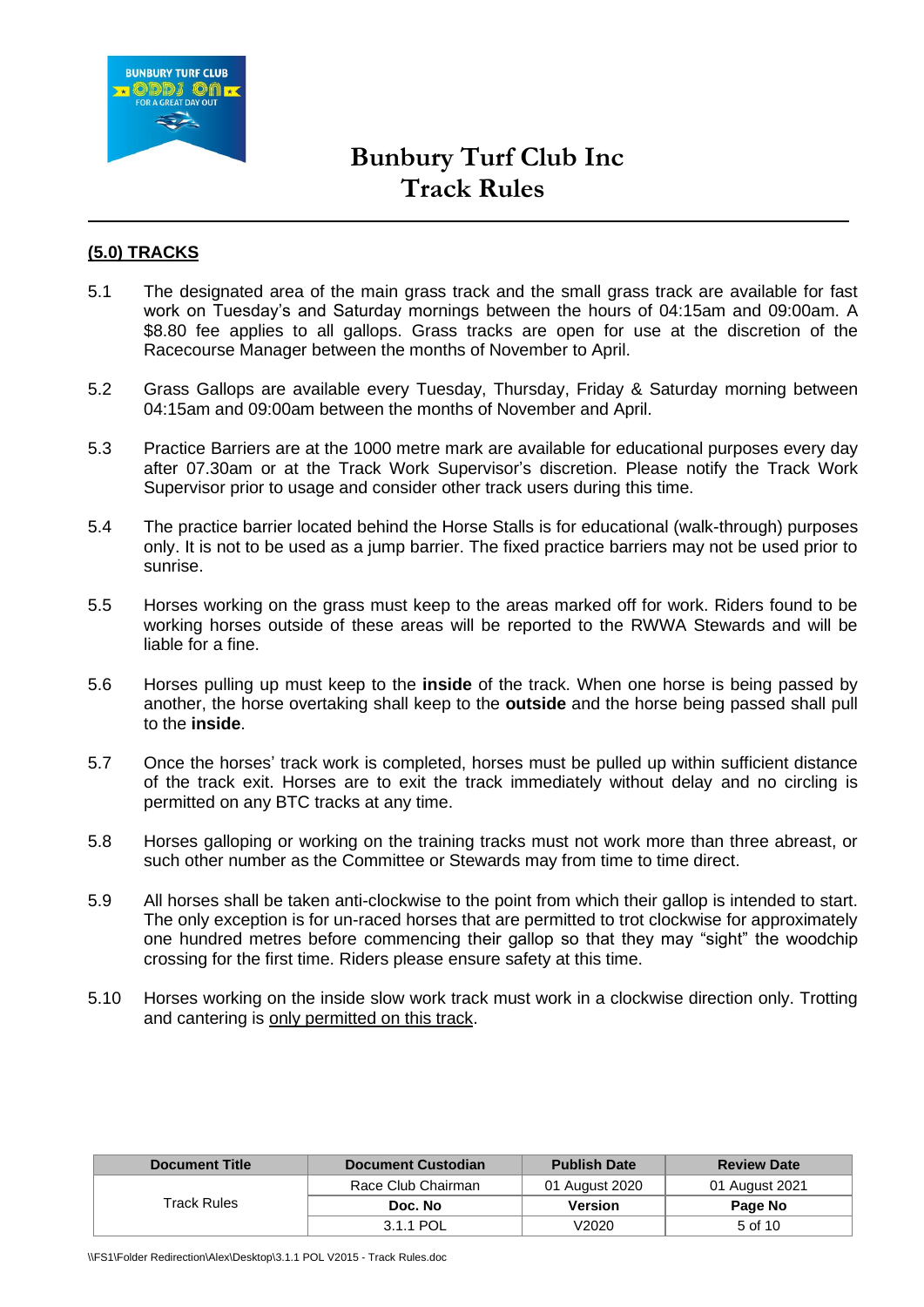

## **(5.0) TRACKS**

- 5.1 The designated area of the main grass track and the small grass track are available for fast work on Tuesday's and Saturday mornings between the hours of 04:15am and 09:00am. A \$8.80 fee applies to all gallops. Grass tracks are open for use at the discretion of the Racecourse Manager between the months of November to April.
- 5.2 Grass Gallops are available every Tuesday, Thursday, Friday & Saturday morning between 04:15am and 09:00am between the months of November and April.
- 5.3 Practice Barriers are at the 1000 metre mark are available for educational purposes every day after 07.30am or at the Track Work Supervisor's discretion. Please notify the Track Work Supervisor prior to usage and consider other track users during this time.
- 5.4 The practice barrier located behind the Horse Stalls is for educational (walk-through) purposes only. It is not to be used as a jump barrier. The fixed practice barriers may not be used prior to sunrise.
- 5.5 Horses working on the grass must keep to the areas marked off for work. Riders found to be working horses outside of these areas will be reported to the RWWA Stewards and will be liable for a fine.
- 5.6 Horses pulling up must keep to the **inside** of the track. When one horse is being passed by another, the horse overtaking shall keep to the **outside** and the horse being passed shall pull to the **inside**.
- 5.7 Once the horses' track work is completed, horses must be pulled up within sufficient distance of the track exit. Horses are to exit the track immediately without delay and no circling is permitted on any BTC tracks at any time.
- 5.8 Horses galloping or working on the training tracks must not work more than three abreast, or such other number as the Committee or Stewards may from time to time direct.
- 5.9 All horses shall be taken anti-clockwise to the point from which their gallop is intended to start. The only exception is for un-raced horses that are permitted to trot clockwise for approximately one hundred metres before commencing their gallop so that they may "sight" the woodchip crossing for the first time. Riders please ensure safety at this time.
- 5.10 Horses working on the inside slow work track must work in a clockwise direction only. Trotting and cantering is only permitted on this track.

| <b>Document Title</b> | <b>Document Custodian</b> | <b>Publish Date</b> | <b>Review Date</b> |
|-----------------------|---------------------------|---------------------|--------------------|
|                       | Race Club Chairman        | 01 August 2020      | 01 August 2021     |
| Track Rules           | Doc. No                   | <b>Version</b>      | Page No            |
|                       | 3.1.1 POL                 | /2020               | 5 of 10            |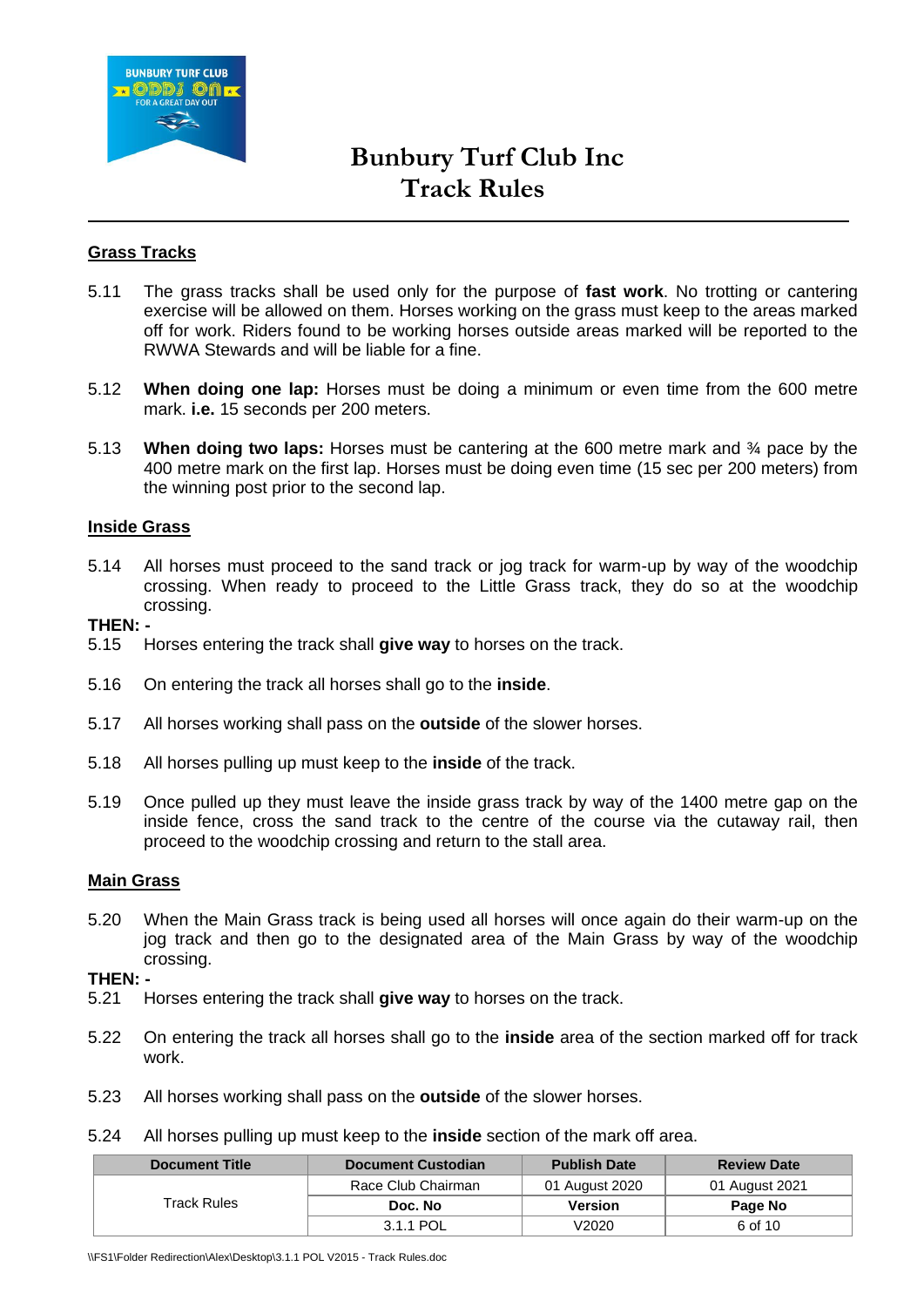

### **Grass Tracks**

- 5.11 The grass tracks shall be used only for the purpose of **fast work**. No trotting or cantering exercise will be allowed on them. Horses working on the grass must keep to the areas marked off for work. Riders found to be working horses outside areas marked will be reported to the RWWA Stewards and will be liable for a fine.
- 5.12 **When doing one lap:** Horses must be doing a minimum or even time from the 600 metre mark. **i.e.** 15 seconds per 200 meters.
- 5.13 **When doing two laps:** Horses must be cantering at the 600 metre mark and ¾ pace by the 400 metre mark on the first lap. Horses must be doing even time (15 sec per 200 meters) from the winning post prior to the second lap.

### **Inside Grass**

5.14 All horses must proceed to the sand track or jog track for warm-up by way of the woodchip crossing. When ready to proceed to the Little Grass track, they do so at the woodchip crossing.

**THEN: -**

- 5.15 Horses entering the track shall **give way** to horses on the track.
- 5.16 On entering the track all horses shall go to the **inside**.
- 5.17 All horses working shall pass on the **outside** of the slower horses.
- 5.18 All horses pulling up must keep to the **inside** of the track.
- 5.19 Once pulled up they must leave the inside grass track by way of the 1400 metre gap on the inside fence, cross the sand track to the centre of the course via the cutaway rail, then proceed to the woodchip crossing and return to the stall area.

#### **Main Grass**

5.20 When the Main Grass track is being used all horses will once again do their warm-up on the jog track and then go to the designated area of the Main Grass by way of the woodchip crossing.

#### **THEN: -**

- 5.21 Horses entering the track shall **give way** to horses on the track.
- 5.22 On entering the track all horses shall go to the **inside** area of the section marked off for track work.
- 5.23 All horses working shall pass on the **outside** of the slower horses.
- 5.24 All horses pulling up must keep to the **inside** section of the mark off area.

| <b>Document Title</b> | <b>Document Custodian</b> | <b>Publish Date</b> | <b>Review Date</b> |
|-----------------------|---------------------------|---------------------|--------------------|
|                       | Race Club Chairman        | 01 August 2020      | 01 August 2021     |
| Track Rules           | Doc. No                   | Version             | Page No            |
|                       | 3.1.1 POL                 | V2020               | 6 of 10            |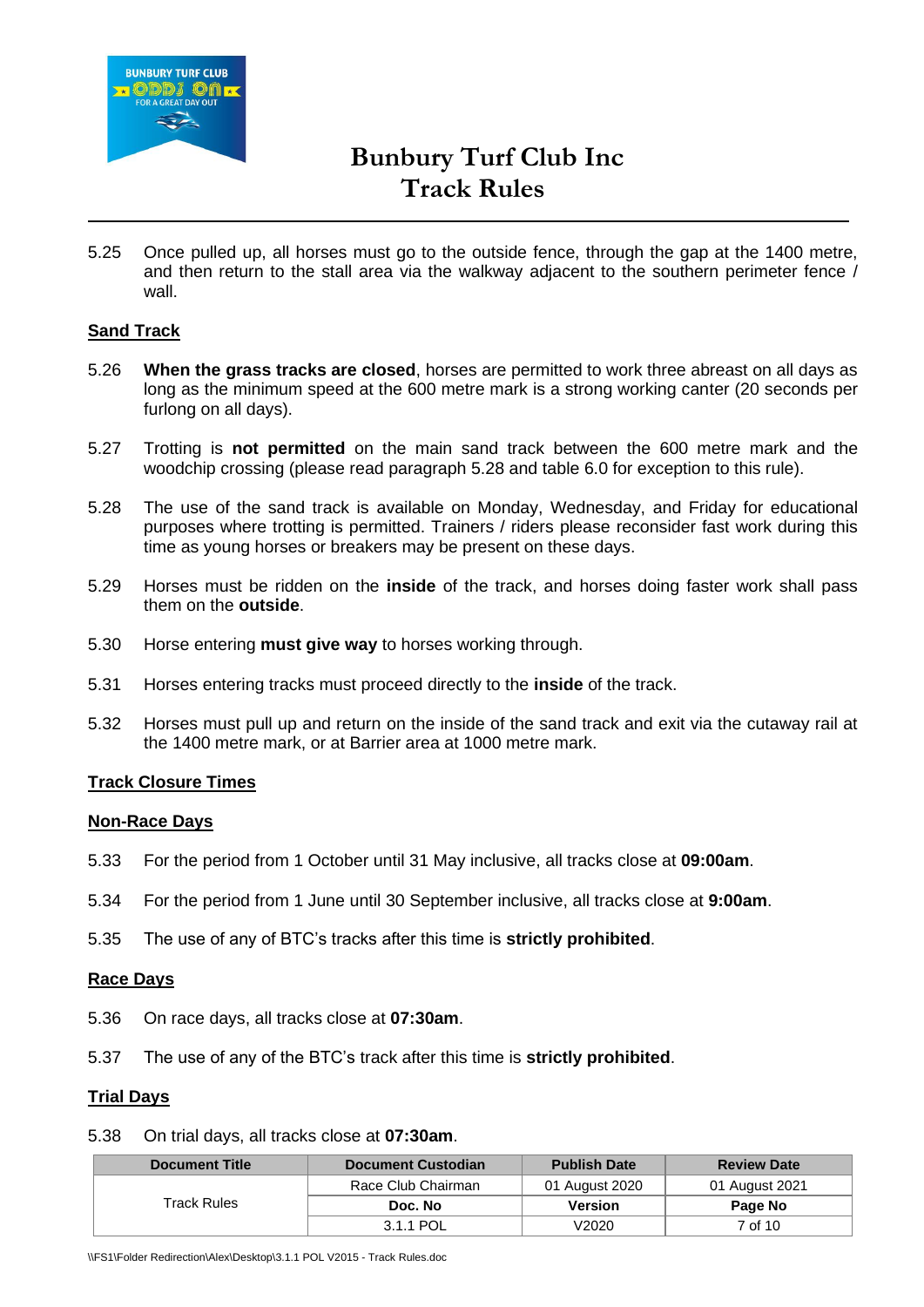

5.25 Once pulled up, all horses must go to the outside fence, through the gap at the 1400 metre, and then return to the stall area via the walkway adjacent to the southern perimeter fence / wall.

### **Sand Track**

- 5.26 **When the grass tracks are closed**, horses are permitted to work three abreast on all days as long as the minimum speed at the 600 metre mark is a strong working canter (20 seconds per furlong on all days).
- 5.27 Trotting is **not permitted** on the main sand track between the 600 metre mark and the woodchip crossing (please read paragraph 5.28 and table 6.0 for exception to this rule).
- 5.28 The use of the sand track is available on Monday, Wednesday, and Friday for educational purposes where trotting is permitted. Trainers / riders please reconsider fast work during this time as young horses or breakers may be present on these days.
- 5.29 Horses must be ridden on the **inside** of the track, and horses doing faster work shall pass them on the **outside**.
- 5.30 Horse entering **must give way** to horses working through.
- 5.31 Horses entering tracks must proceed directly to the **inside** of the track.
- 5.32 Horses must pull up and return on the inside of the sand track and exit via the cutaway rail at the 1400 metre mark, or at Barrier area at 1000 metre mark.

#### **Track Closure Times**

#### **Non-Race Days**

- 5.33 For the period from 1 October until 31 May inclusive, all tracks close at **09:00am**.
- 5.34 For the period from 1 June until 30 September inclusive, all tracks close at **9:00am**.
- 5.35 The use of any of BTC's tracks after this time is **strictly prohibited**.

#### **Race Days**

- 5.36 On race days, all tracks close at **07:30am**.
- 5.37 The use of any of the BTC's track after this time is **strictly prohibited**.

#### **Trial Days**

#### 5.38 On trial days, all tracks close at **07:30am**.

| <b>Document Title</b> | <b>Document Custodian</b> | <b>Publish Date</b> | <b>Review Date</b> |
|-----------------------|---------------------------|---------------------|--------------------|
|                       | Race Club Chairman        | 01 August 2020      | 01 August 2021     |
| Track Rules           | Doc. No                   | <b>Version</b>      | Page No            |
|                       | 3.1.1 POL                 | /2020               | 7 of 10            |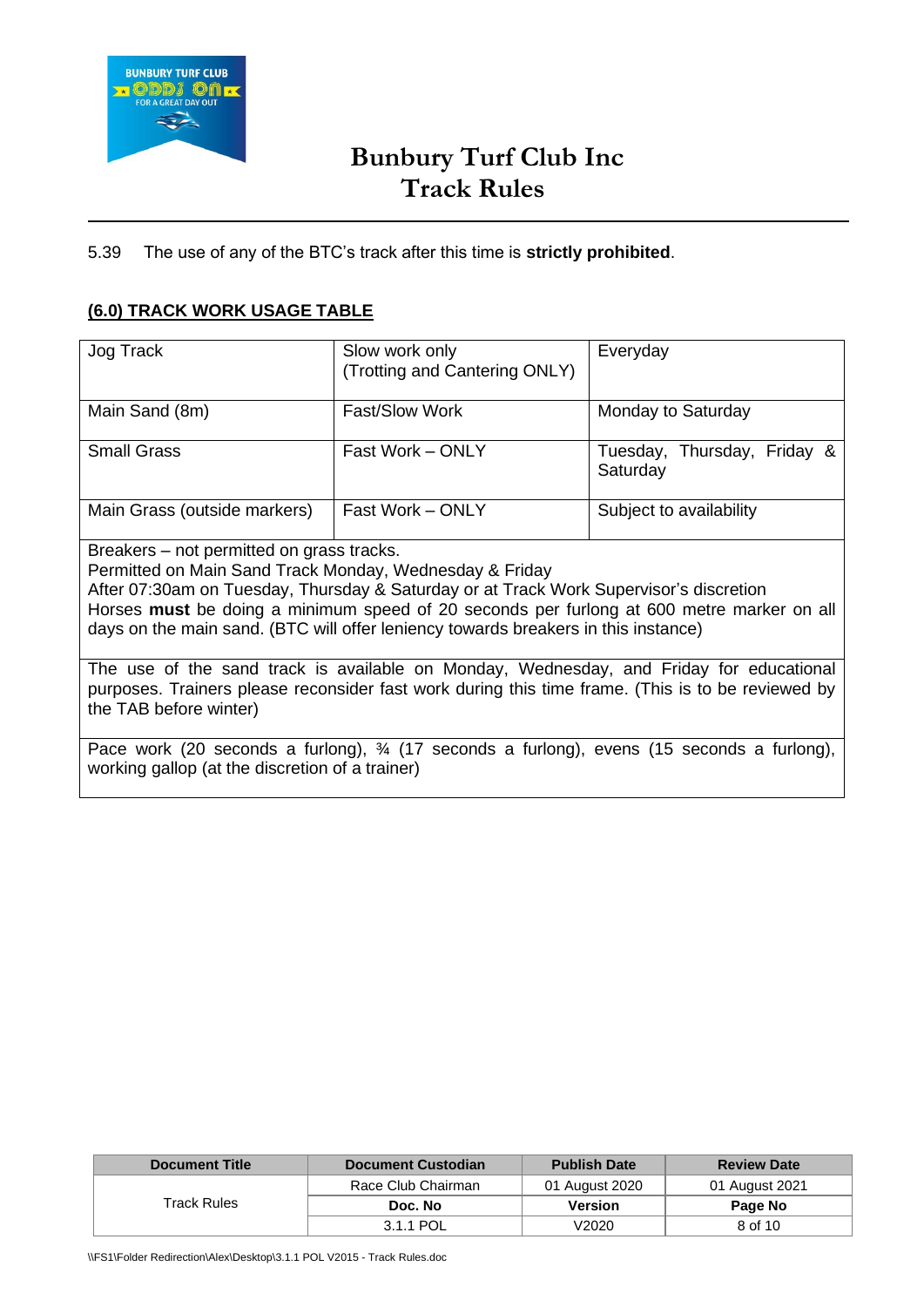

## 5.39 The use of any of the BTC's track after this time is **strictly prohibited**.

# **(6.0) TRACK WORK USAGE TABLE**

| Jog Track                                                                                                                                                                                                                                                                                                                                                                         | Slow work only<br>(Trotting and Cantering ONLY) | Everyday                                |  |  |
|-----------------------------------------------------------------------------------------------------------------------------------------------------------------------------------------------------------------------------------------------------------------------------------------------------------------------------------------------------------------------------------|-------------------------------------------------|-----------------------------------------|--|--|
| Main Sand (8m)                                                                                                                                                                                                                                                                                                                                                                    | <b>Fast/Slow Work</b>                           | Monday to Saturday                      |  |  |
| <b>Small Grass</b>                                                                                                                                                                                                                                                                                                                                                                | Fast Work - ONLY                                | Tuesday, Thursday, Friday &<br>Saturday |  |  |
| Main Grass (outside markers)                                                                                                                                                                                                                                                                                                                                                      | Fast Work - ONLY                                | Subject to availability                 |  |  |
| Breakers – not permitted on grass tracks.<br>Permitted on Main Sand Track Monday, Wednesday & Friday<br>After 07:30am on Tuesday, Thursday & Saturday or at Track Work Supervisor's discretion<br>Horses must be doing a minimum speed of 20 seconds per furlong at 600 metre marker on all<br>days on the main sand. (BTC will offer leniency towards breakers in this instance) |                                                 |                                         |  |  |
| The use of the sand track is available on Monday, Wednesday, and Friday for educational<br>. Tugʻing uchun qoʻlan bashqalarda taqidi illi ilmin tarixin bashqalarda ishlarida bashqalarda bash                                                                                                                                                                                    |                                                 |                                         |  |  |

purposes. Trainers please reconsider fast work during this time frame. (This is to be reviewed by the TAB before winter)

Pace work (20 seconds a furlong),  $\frac{3}{4}$  (17 seconds a furlong), evens (15 seconds a furlong), working gallop (at the discretion of a trainer)

| <b>Document Title</b> | <b>Document Custodian</b> | <b>Publish Date</b> | <b>Review Date</b> |
|-----------------------|---------------------------|---------------------|--------------------|
|                       | Race Club Chairman        | 01 August 2020      | 01 August 2021     |
| Track Rules           | Doc. No                   | Version             | Page No            |
|                       | 3.1.1 POL                 | V2020               | 8 of 10            |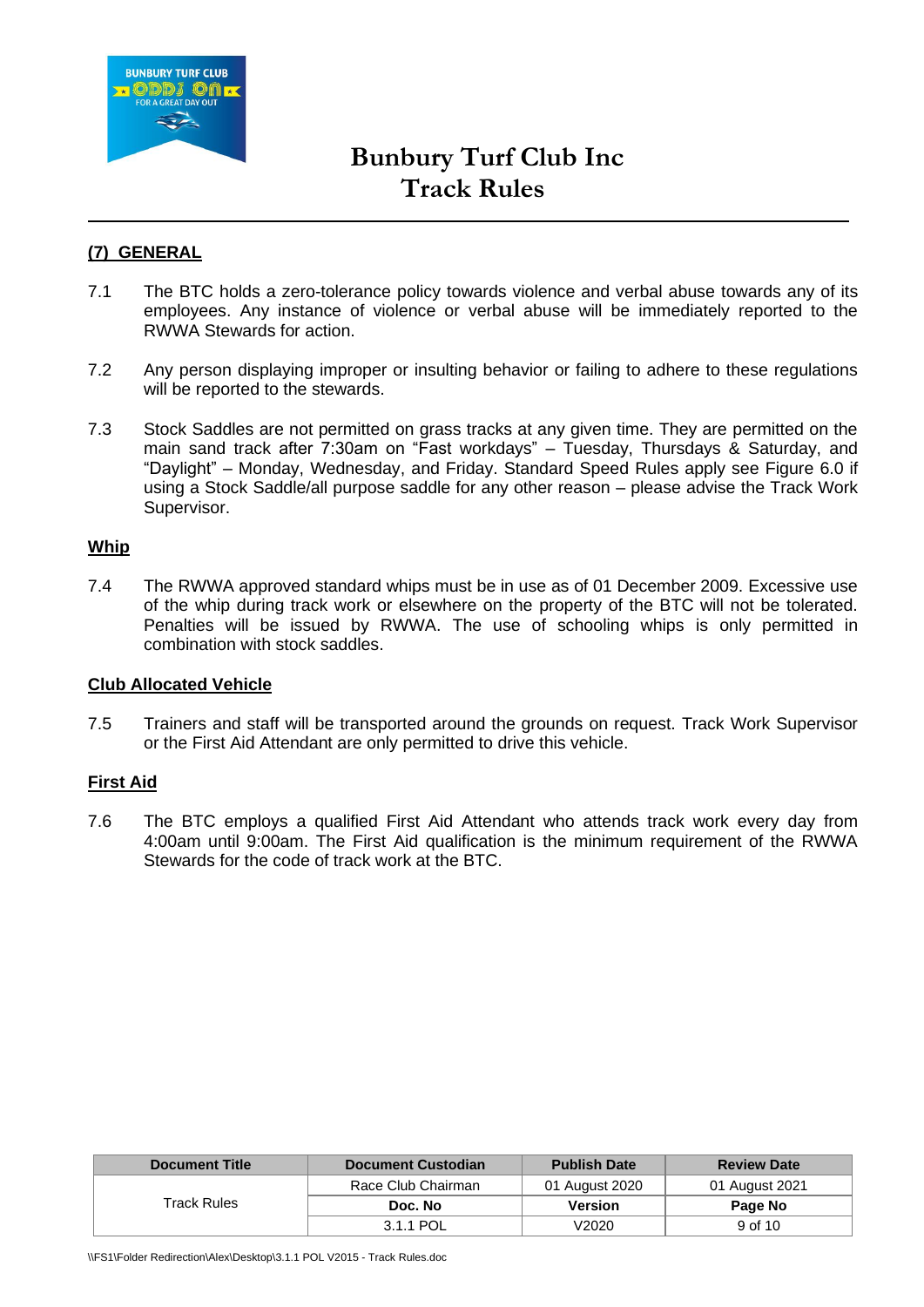

## **(7) GENERAL**

- 7.1 The BTC holds a zero-tolerance policy towards violence and verbal abuse towards any of its employees. Any instance of violence or verbal abuse will be immediately reported to the RWWA Stewards for action.
- 7.2 Any person displaying improper or insulting behavior or failing to adhere to these regulations will be reported to the stewards.
- 7.3 Stock Saddles are not permitted on grass tracks at any given time. They are permitted on the main sand track after 7:30am on "Fast workdays" – Tuesday, Thursdays & Saturday, and "Daylight" – Monday, Wednesday, and Friday. Standard Speed Rules apply see Figure 6.0 if using a Stock Saddle/all purpose saddle for any other reason – please advise the Track Work Supervisor.

### **Whip**

7.4 The RWWA approved standard whips must be in use as of 01 December 2009. Excessive use of the whip during track work or elsewhere on the property of the BTC will not be tolerated. Penalties will be issued by RWWA. The use of schooling whips is only permitted in combination with stock saddles.

#### **Club Allocated Vehicle**

7.5 Trainers and staff will be transported around the grounds on request. Track Work Supervisor or the First Aid Attendant are only permitted to drive this vehicle.

### **First Aid**

7.6 The BTC employs a qualified First Aid Attendant who attends track work every day from 4:00am until 9:00am. The First Aid qualification is the minimum requirement of the RWWA Stewards for the code of track work at the BTC.

| <b>Document Title</b> | <b>Document Custodian</b> | <b>Publish Date</b> | <b>Review Date</b> |
|-----------------------|---------------------------|---------------------|--------------------|
|                       | Race Club Chairman        | 01 August 2020      | 01 August 2021     |
| Track Rules           | Doc. No                   | <b>Version</b>      | Page No            |
|                       | 3.1.1 POL                 | V2020               | 9 of 10            |